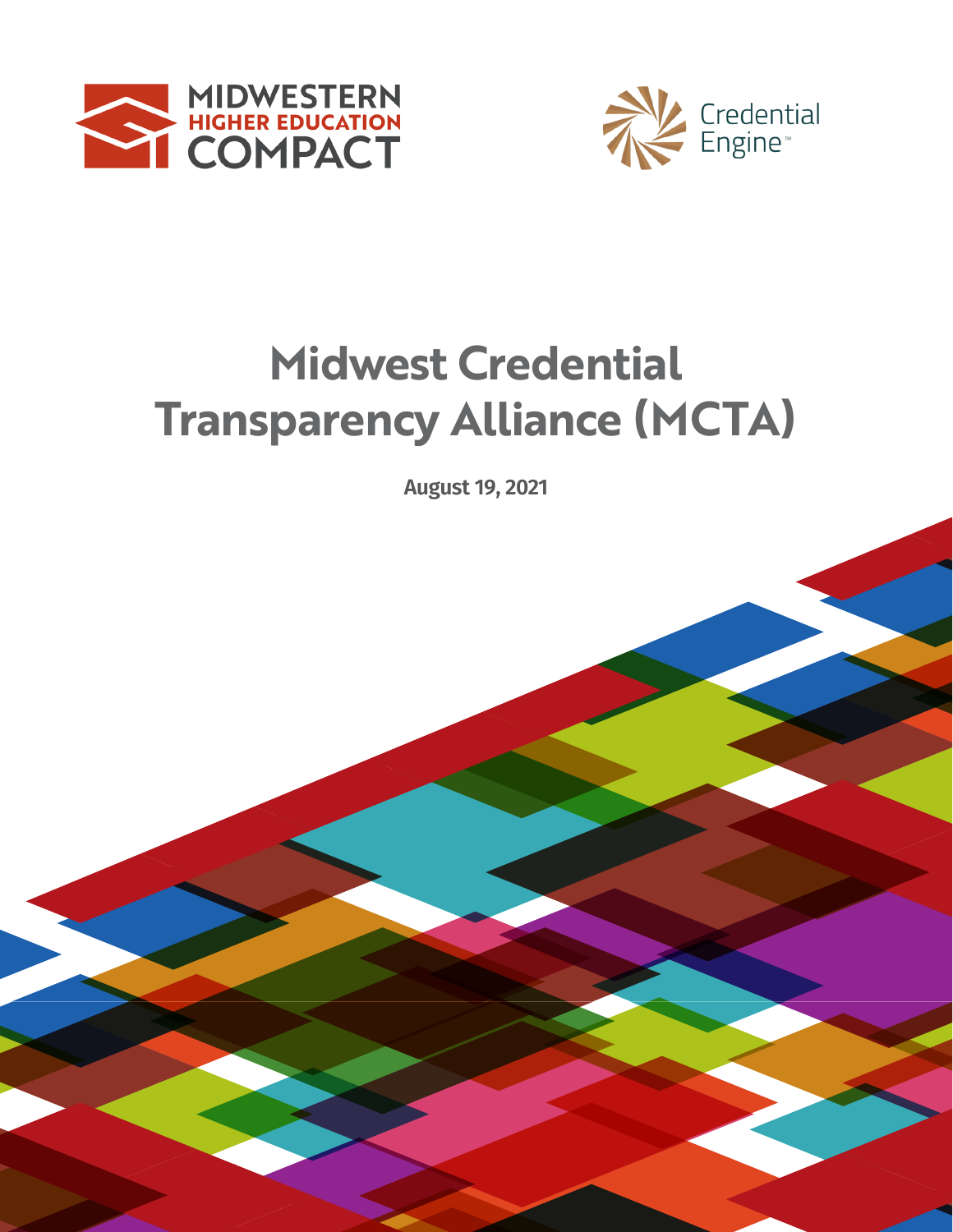



# **2019-2020 Transparency Alliance (MCTA) Midwest Credential**

**REPORT**<br>REPORT **August 19, 2021**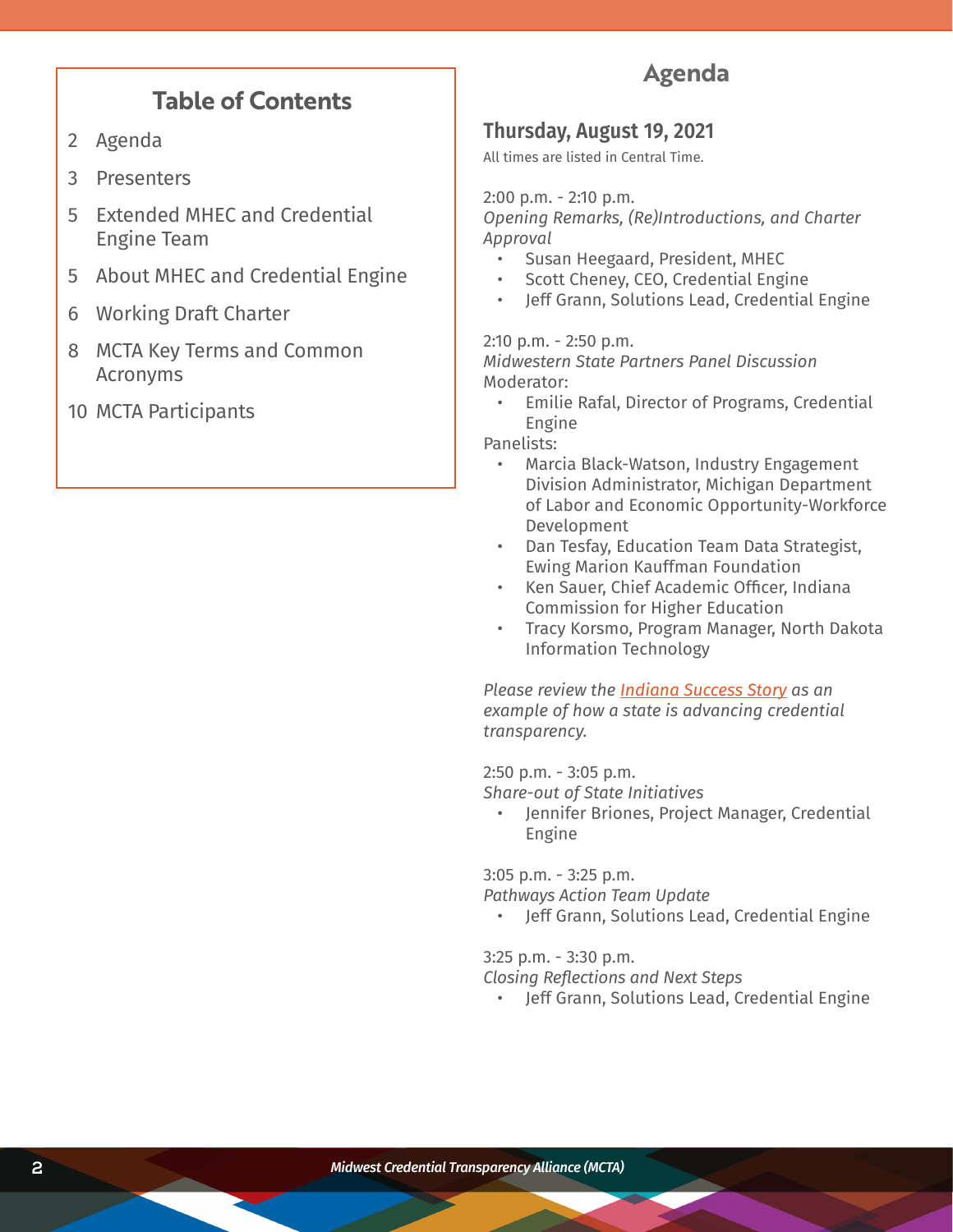# **Table of Contents**

- 2 Agenda
- 3 Presenters
- 5 Extended MHEC and Credential Engine Team
- 5 About MHEC and Credential Engine
- 6 Working Draft Charter
- 8 MCTA Key Terms and Common Acronyms
- 10 MCTA Participants

# **Agenda**

# **Thursday, August 19, 2021**

All times are listed in Central Time.

2:00 p.m. - 2:10 p.m.

*Opening Remarks, (Re)Introductions, and Charter Approval*

- Susan Heegaard, President, MHEC
- Scott Cheney, CEO, Credential Engine
- Jeff Grann, Solutions Lead, Credential Engine

2:10 p.m. - 2:50 p.m.

*Midwestern State Partners Panel Discussion*  Moderator:

• Emilie Rafal, Director of Programs, Credential Engine

Panelists:

- Marcia Black-Watson, Industry Engagement Division Administrator, Michigan Department of Labor and Economic Opportunity-Workforce Development
- Dan Tesfay, Education Team Data Strategist, Ewing Marion Kauffman Foundation
- Ken Sauer, Chief Academic Officer, Indiana Commission for Higher Education
- Tracy Korsmo, Program Manager, North Dakota Information Technology

*Please review the [Indiana Success Story](https://credentialengine.org/success-stories/indiana/) as an example of how a state is advancing credential transparency.* 

2:50 p.m. - 3:05 p.m.

*Share-out of State Initiatives*

• Jennifer Briones, Project Manager, Credential Engine

3:05 p.m. - 3:25 p.m.

*Pathways Action Team Update*

• Jeff Grann, Solutions Lead, Credential Engine

3:25 p.m. - 3:30 p.m.

*Closing Reflections and Next Steps*

• Jeff Grann, Solutions Lead, Credential Engine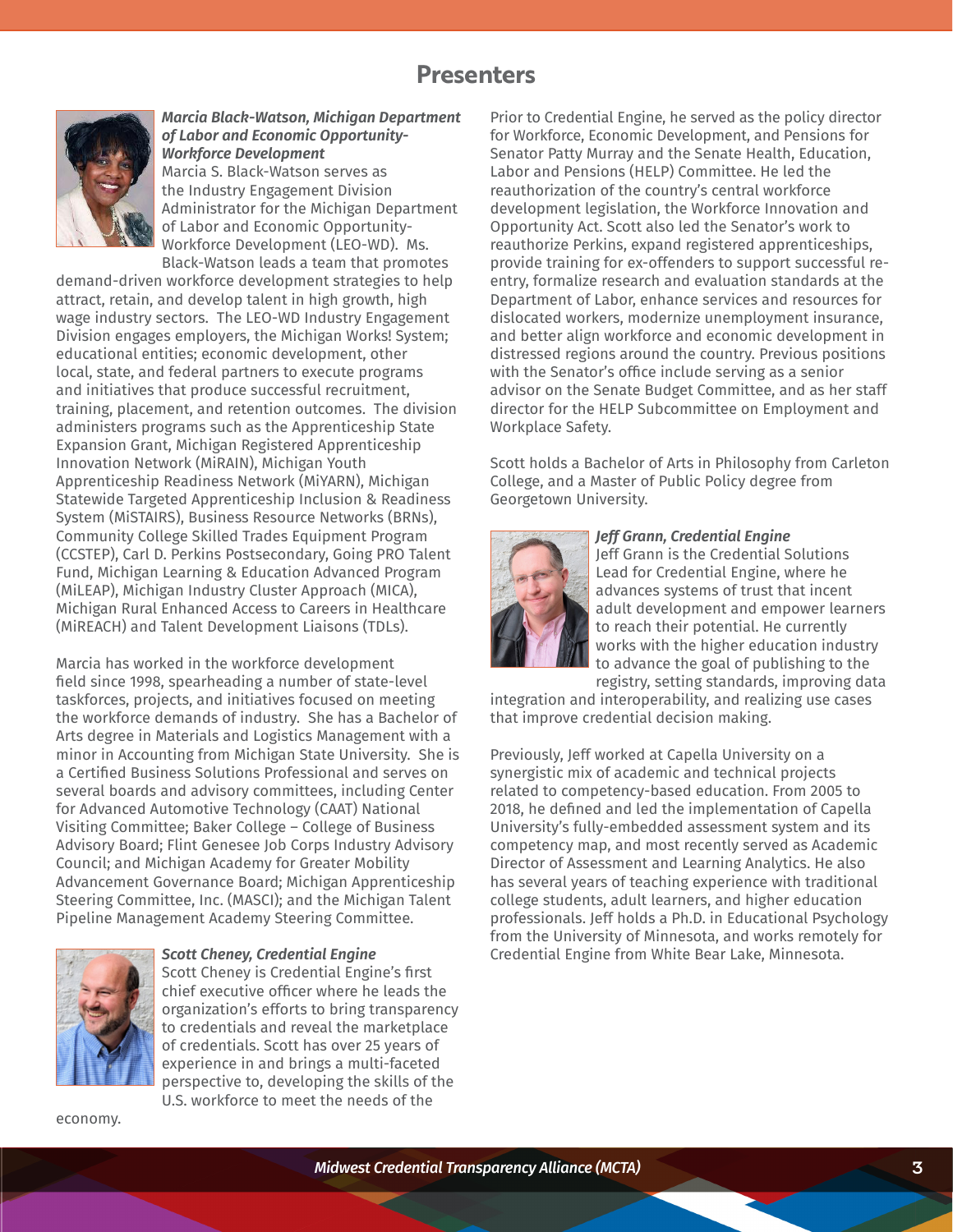# **Presenters**



*Marcia Black-Watson, Michigan Department of Labor and Economic Opportunity-Workforce Development*

Marcia S. Black-Watson serves as the Industry Engagement Division Administrator for the Michigan Department of Labor and Economic Opportunity-Workforce Development (LEO-WD). Ms. Black-Watson leads a team that promotes

demand-driven workforce development strategies to help attract, retain, and develop talent in high growth, high wage industry sectors. The LEO-WD Industry Engagement Division engages employers, the Michigan Works! System; educational entities; economic development, other local, state, and federal partners to execute programs and initiatives that produce successful recruitment, training, placement, and retention outcomes. The division administers programs such as the Apprenticeship State Expansion Grant, Michigan Registered Apprenticeship Innovation Network (MiRAIN), Michigan Youth Apprenticeship Readiness Network (MiYARN), Michigan Statewide Targeted Apprenticeship Inclusion & Readiness System (MiSTAIRS), Business Resource Networks (BRNs), Community College Skilled Trades Equipment Program (CCSTEP), Carl D. Perkins Postsecondary, Going PRO Talent Fund, Michigan Learning & Education Advanced Program (MiLEAP), Michigan Industry Cluster Approach (MICA), Michigan Rural Enhanced Access to Careers in Healthcare (MiREACH) and Talent Development Liaisons (TDLs).

Marcia has worked in the workforce development field since 1998, spearheading a number of state-level taskforces, projects, and initiatives focused on meeting the workforce demands of industry. She has a Bachelor of Arts degree in Materials and Logistics Management with a minor in Accounting from Michigan State University. She is a Certified Business Solutions Professional and serves on several boards and advisory committees, including Center for Advanced Automotive Technology (CAAT) National Visiting Committee; Baker College – College of Business Advisory Board; Flint Genesee Job Corps Industry Advisory Council; and Michigan Academy for Greater Mobility Advancement Governance Board; Michigan Apprenticeship Steering Committee, Inc. (MASCI); and the Michigan Talent Pipeline Management Academy Steering Committee.



# *Scott Cheney, Credential Engine*

Scott Cheney is Credential Engine's first chief executive officer where he leads the organization's efforts to bring transparency to credentials and reveal the marketplace of credentials. Scott has over 25 years of experience in and brings a multi-faceted perspective to, developing the skills of the U.S. workforce to meet the needs of the

economy.

Prior to Credential Engine, he served as the policy director for Workforce, Economic Development, and Pensions for Senator Patty Murray and the Senate Health, Education, Labor and Pensions (HELP) Committee. He led the reauthorization of the country's central workforce development legislation, the Workforce Innovation and Opportunity Act. Scott also led the Senator's work to reauthorize Perkins, expand registered apprenticeships, provide training for ex-offenders to support successful reentry, formalize research and evaluation standards at the Department of Labor, enhance services and resources for dislocated workers, modernize unemployment insurance, and better align workforce and economic development in distressed regions around the country. Previous positions with the Senator's office include serving as a senior advisor on the Senate Budget Committee, and as her staff director for the HELP Subcommittee on Employment and Workplace Safety.

Scott holds a Bachelor of Arts in Philosophy from Carleton College, and a Master of Public Policy degree from Georgetown University.



#### *Jeff Grann, Credential Engine*

Jeff Grann is the Credential Solutions Lead for Credential Engine, where he advances systems of trust that incent adult development and empower learners to reach their potential. He currently works with the higher education industry to advance the goal of publishing to the registry, setting standards, improving data

integration and interoperability, and realizing use cases that improve credential decision making.

Previously, Jeff worked at Capella University on a synergistic mix of academic and technical projects related to competency-based education. From 2005 to 2018, he defined and led the implementation of Capella University's fully-embedded assessment system and its competency map, and most recently served as Academic Director of Assessment and Learning Analytics. He also has several years of teaching experience with traditional college students, adult learners, and higher education professionals. Jeff holds a Ph.D. in Educational Psychology from the University of Minnesota, and works remotely for Credential Engine from White Bear Lake, Minnesota.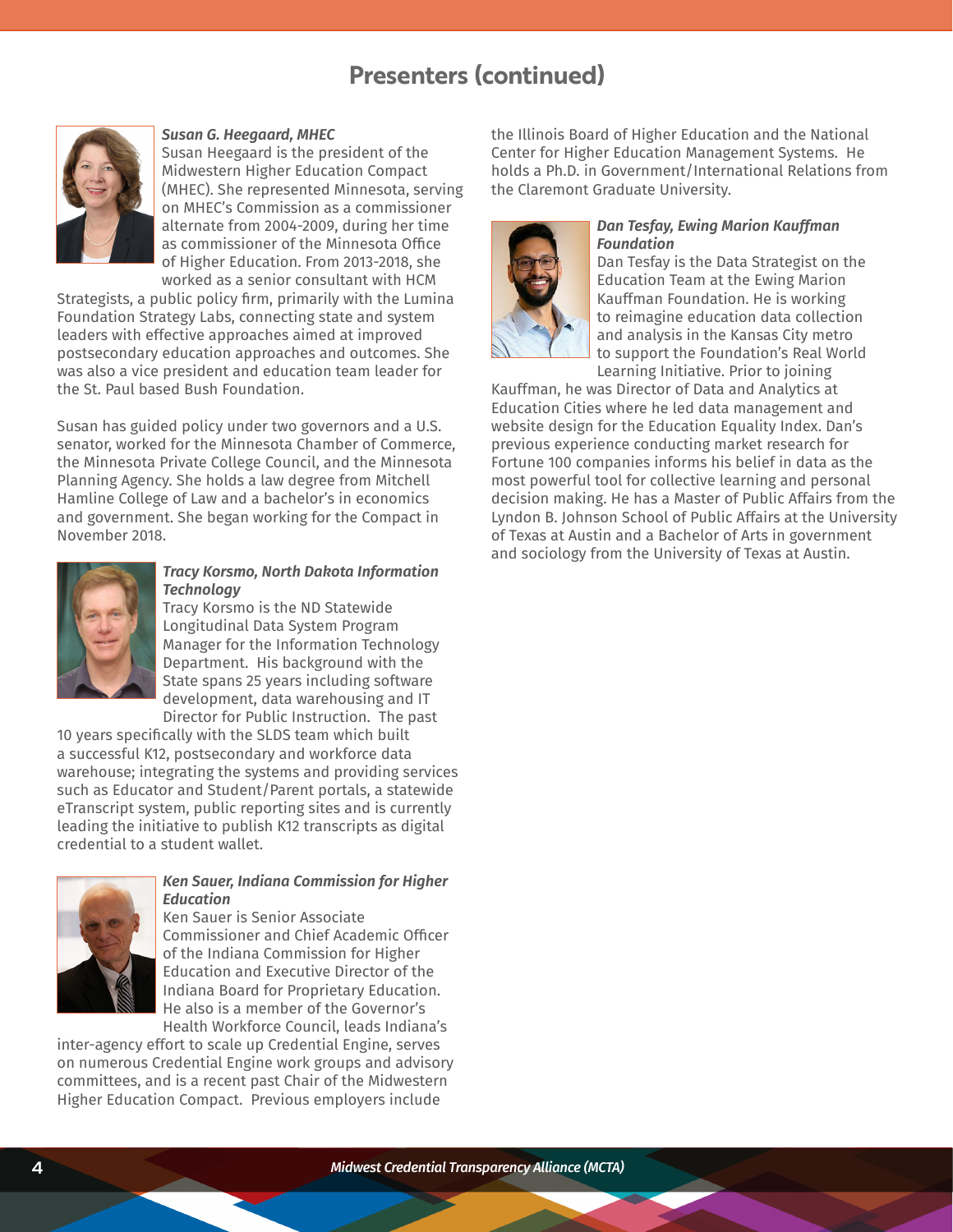# **Presenters (continued)**



#### *Susan G. Heegaard, MHEC*

Susan Heegaard is the president of the Midwestern Higher Education Compact (MHEC). She represented Minnesota, serving on MHEC's Commission as a commissioner alternate from 2004-2009, during her time as commissioner of the Minnesota Office of Higher Education. From 2013-2018, she worked as a senior consultant with HCM

Strategists, a public policy firm, primarily with the Lumina Foundation Strategy Labs, connecting state and system leaders with effective approaches aimed at improved postsecondary education approaches and outcomes. She was also a vice president and education team leader for the St. Paul based Bush Foundation.

Susan has guided policy under two governors and a U.S. senator, worked for the Minnesota Chamber of Commerce, the Minnesota Private College Council, and the Minnesota Planning Agency. She holds a law degree from Mitchell Hamline College of Law and a bachelor's in economics and government. She began working for the Compact in November 2018.



# *Tracy Korsmo, North Dakota Information Technology*

Tracy Korsmo is the ND Statewide Longitudinal Data System Program Manager for the Information Technology Department. His background with the State spans 25 years including software development, data warehousing and IT Director for Public Instruction. The past

10 years specifically with the SLDS team which built a successful K12, postsecondary and workforce data warehouse; integrating the systems and providing services such as Educator and Student/Parent portals, a statewide eTranscript system, public reporting sites and is currently leading the initiative to publish K12 transcripts as digital credential to a student wallet.



# *Ken Sauer, Indiana Commission for Higher Education*

Ken Sauer is Senior Associate Commissioner and Chief Academic Officer of the Indiana Commission for Higher Education and Executive Director of the Indiana Board for Proprietary Education. He also is a member of the Governor's Health Workforce Council, leads Indiana's

inter-agency effort to scale up Credential Engine, serves on numerous Credential Engine work groups and advisory committees, and is a recent past Chair of the Midwestern Higher Education Compact. Previous employers include

the Illinois Board of Higher Education and the National Center for Higher Education Management Systems. He holds a Ph.D. in Government/International Relations from the Claremont Graduate University.



### *Dan Tesfay, Ewing Marion Kauffman Foundation*

Dan Tesfay is the Data Strategist on the Education Team at the Ewing Marion Kauffman Foundation. He is working to reimagine education data collection and analysis in the Kansas City metro to support the Foundation's Real World Learning Initiative. Prior to joining

Kauffman, he was Director of Data and Analytics at Education Cities where he led data management and website design for the Education Equality Index. Dan's previous experience conducting market research for Fortune 100 companies informs his belief in data as the most powerful tool for collective learning and personal decision making. He has a Master of Public Affairs from the Lyndon B. Johnson School of Public Affairs at the University of Texas at Austin and a Bachelor of Arts in government and sociology from the University of Texas at Austin.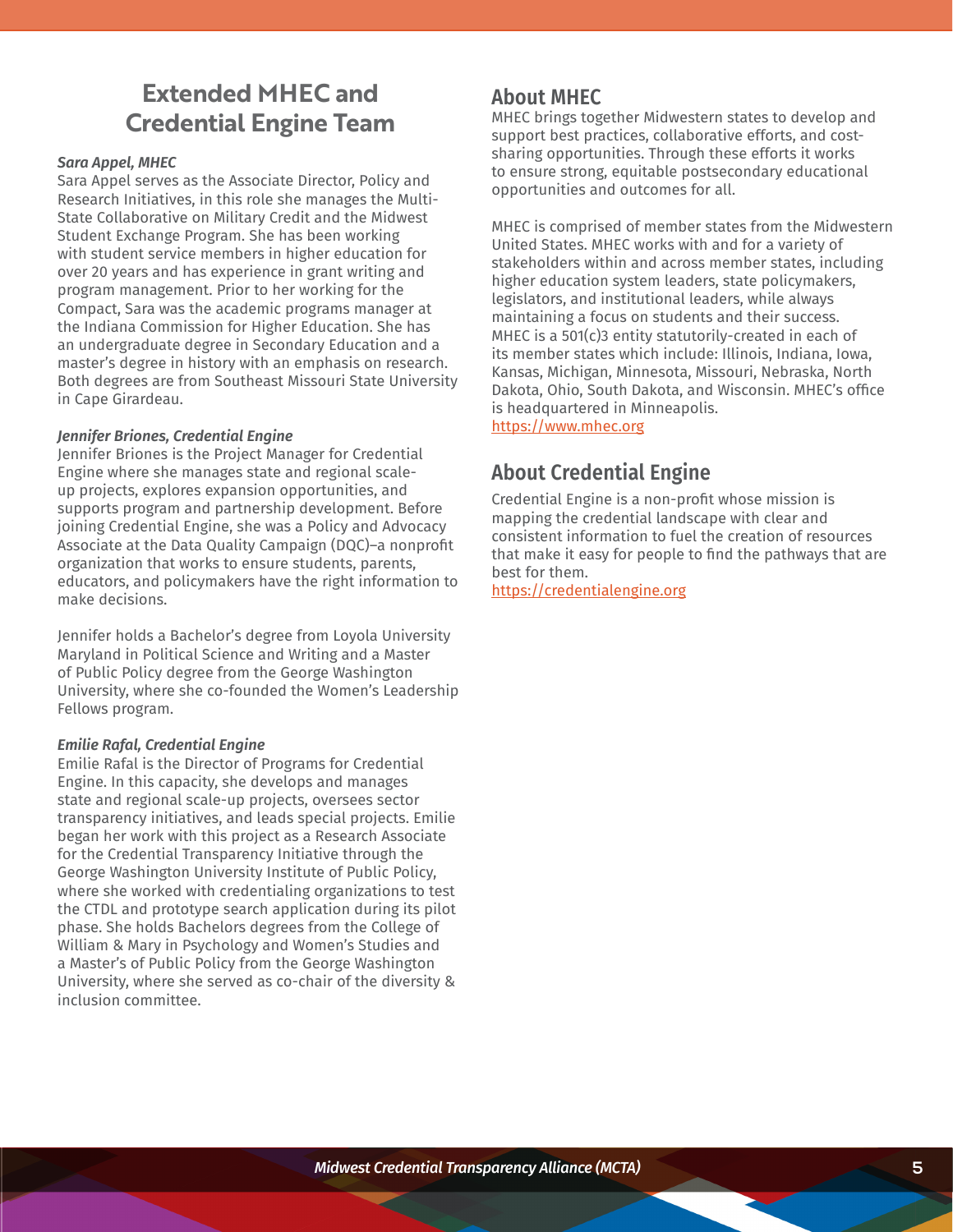# **Extended MHEC and Credential Engine Team**

# *Sara Appel, MHEC*

Sara Appel serves as the Associate Director, Policy and Research Initiatives, in this role she manages the Multi-State Collaborative on Military Credit and the Midwest Student Exchange Program. She has been working with student service members in higher education for over 20 years and has experience in grant writing and program management. Prior to her working for the Compact, Sara was the academic programs manager at the Indiana Commission for Higher Education. She has an undergraduate degree in Secondary Education and a master's degree in history with an emphasis on research. Both degrees are from Southeast Missouri State University in Cape Girardeau.

# *Jennifer Briones, Credential Engine*

Jennifer Briones is the Project Manager for Credential Engine where she manages state and regional scaleup projects, explores expansion opportunities, and supports program and partnership development. Before joining Credential Engine, she was a Policy and Advocacy Associate at the Data Quality Campaign (DQC)–a nonprofit organization that works to ensure students, parents, educators, and policymakers have the right information to make decisions.

Jennifer holds a Bachelor's degree from Loyola University Maryland in Political Science and Writing and a Master of Public Policy degree from the George Washington University, where she co-founded the Women's Leadership Fellows program.

# *Emilie Rafal, Credential Engine*

Emilie Rafal is the Director of Programs for Credential Engine. In this capacity, she develops and manages state and regional scale-up projects, oversees sector transparency initiatives, and leads special projects. Emilie began her work with this project as a Research Associate for the Credential Transparency Initiative through the George Washington University Institute of Public Policy, where she worked with credentialing organizations to test the CTDL and prototype search application during its pilot phase. She holds Bachelors degrees from the College of William & Mary in Psychology and Women's Studies and a Master's of Public Policy from the George Washington University, where she served as co-chair of the diversity & inclusion committee.

# **About MHEC**

MHEC brings together Midwestern states to develop and support best practices, collaborative efforts, and costsharing opportunities. Through these efforts it works to ensure strong, equitable postsecondary educational opportunities and outcomes for all.

MHEC is comprised of member states from the Midwestern United States. MHEC works with and for a variety of stakeholders within and across member states, including higher education system leaders, state policymakers, legislators, and institutional leaders, while always maintaining a focus on students and their success. MHEC is a 501(c)3 entity statutorily-created in each of its member states which include: Illinois, Indiana, Iowa, Kansas, Michigan, Minnesota, Missouri, Nebraska, North Dakota, Ohio, South Dakota, and Wisconsin. MHEC's office is headquartered in Minneapolis. [https://www.mhec.org](https://www.mhec.org/)

# **About Credential Engine**

Credential Engine is a non-profit whose mission is mapping the credential landscape with clear and consistent information to fuel the creation of resources that make it easy for people to find the pathways that are best for them.

<https://credentialengine.org>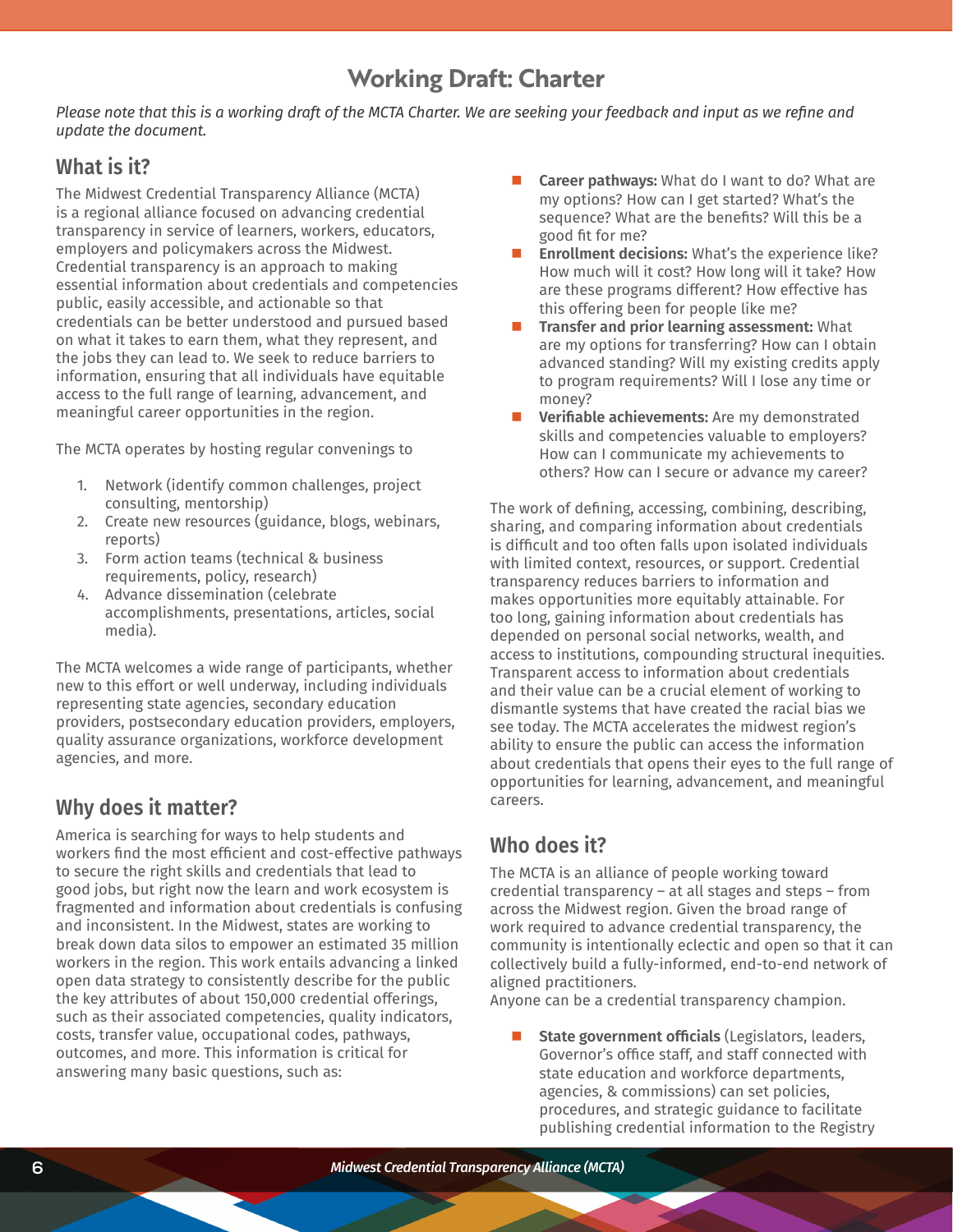# **Working Draft: Charter**

Please note that this is a working draft of the MCTA Charter. We are seeking your feedback and input as we refine and *update the document.*

# **What is it?**

The Midwest Credential Transparency Alliance (MCTA) is a regional alliance focused on advancing credential transparency in service of learners, workers, educators, employers and policymakers across the Midwest. Credential transparency is an approach to making essential information about credentials and competencies public, easily accessible, and actionable so that credentials can be better understood and pursued based on what it takes to earn them, what they represent, and the jobs they can lead to. We seek to reduce barriers to information, ensuring that all individuals have equitable access to the full range of learning, advancement, and meaningful career opportunities in the region.

The MCTA operates by hosting regular convenings to

- 1. Network (identify common challenges, project consulting, mentorship)
- 2. Create new resources (guidance, blogs, webinars, reports)
- 3. Form action teams (technical & business requirements, policy, research)
- 4. Advance dissemination (celebrate accomplishments, presentations, articles, social media).

The MCTA welcomes a wide range of participants, whether new to this effort or well underway, including individuals representing state agencies, secondary education providers, postsecondary education providers, employers, quality assurance organizations, workforce development agencies, and more.

# **Why does it matter?**

America is searching for ways to help students and workers find the most efficient and cost-effective pathways to secure the right skills and credentials that lead to good jobs, but right now the learn and work ecosystem is fragmented and information about credentials is confusing and inconsistent. In the Midwest, states are working to break down data silos to empower an estimated 35 million workers in the region. This work entails advancing a linked open data strategy to consistently describe for the public the key attributes of about 150,000 credential offerings, such as their associated competencies, quality indicators, costs, transfer value, occupational codes, pathways, outcomes, and more. This information is critical for answering many basic questions, such as:

- **Career pathways:** What do I want to do? What are my options? How can I get started? What's the sequence? What are the benefits? Will this be a good fit for me?
- **Enrollment decisions:** What's the experience like? How much will it cost? How long will it take? How are these programs different? How effective has this offering been for people like me?
- **Transfer and prior learning assessment:** What are my options for transferring? How can I obtain advanced standing? Will my existing credits apply to program requirements? Will I lose any time or money?
- **Verifiable achievements:** Are my demonstrated skills and competencies valuable to employers? How can I communicate my achievements to others? How can I secure or advance my career?

The work of defining, accessing, combining, describing, sharing, and comparing information about credentials is difficult and too often falls upon isolated individuals with limited context, resources, or support. Credential transparency reduces barriers to information and makes opportunities more equitably attainable. For too long, gaining information about credentials has depended on personal social networks, wealth, and access to institutions, compounding structural inequities. Transparent access to information about credentials and their value can be a crucial element of working to dismantle systems that have created the racial bias we see today. The MCTA accelerates the midwest region's ability to ensure the public can access the information about credentials that opens their eyes to the full range of opportunities for learning, advancement, and meaningful careers.

# **Who does it?**

The MCTA is an alliance of people working toward credential transparency – at all stages and steps – from across the Midwest region. Given the broad range of work required to advance credential transparency, the community is intentionally eclectic and open so that it can collectively build a fully-informed, end-to-end network of aligned practitioners.

Anyone can be a credential transparency champion.

 **State government officials** (Legislators, leaders, Governor's office staff, and staff connected with state education and workforce departments, agencies, & commissions) can set policies, procedures, and strategic guidance to facilitate publishing credential information to the Registry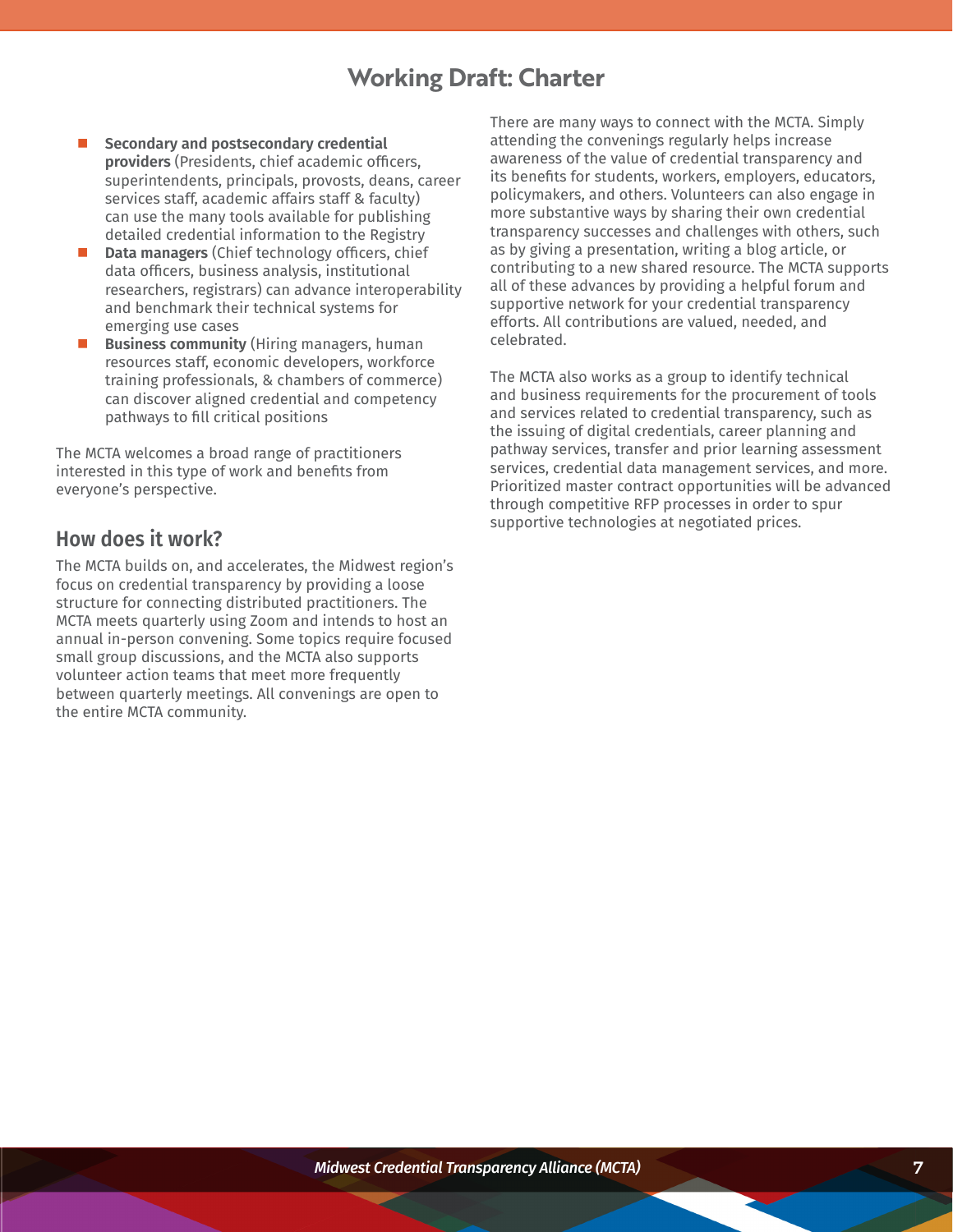# **Working Draft: Charter**

- **Secondary and postsecondary credential providers** (Presidents, chief academic officers, superintendents, principals, provosts, deans, career services staff, academic affairs staff & faculty) can use the many tools available for publishing detailed credential information to the Registry
- **Data managers** (Chief technology officers, chief data officers, business analysis, institutional researchers, registrars) can advance interoperability and benchmark their technical systems for emerging use cases
- **Business community** (Hiring managers, human resources staff, economic developers, workforce training professionals, & chambers of commerce) can discover aligned credential and competency pathways to fill critical positions

The MCTA welcomes a broad range of practitioners interested in this type of work and benefits from everyone's perspective.

# **How does it work?**

The MCTA builds on, and accelerates, the Midwest region's focus on credential transparency by providing a loose structure for connecting distributed practitioners. The MCTA meets quarterly using Zoom and intends to host an annual in-person convening. Some topics require focused small group discussions, and the MCTA also supports volunteer action teams that meet more frequently between quarterly meetings. All convenings are open to the entire MCTA community.

There are many ways to connect with the MCTA. Simply attending the convenings regularly helps increase awareness of the value of credential transparency and its benefits for students, workers, employers, educators, policymakers, and others. Volunteers can also engage in more substantive ways by sharing their own credential transparency successes and challenges with others, such as by giving a presentation, writing a blog article, or contributing to a new shared resource. The MCTA supports all of these advances by providing a helpful forum and supportive network for your credential transparency efforts. All contributions are valued, needed, and celebrated.

The MCTA also works as a group to identify technical and business requirements for the procurement of tools and services related to credential transparency, such as the issuing of digital credentials, career planning and pathway services, transfer and prior learning assessment services, credential data management services, and more. Prioritized master contract opportunities will be advanced through competitive RFP processes in order to spur supportive technologies at negotiated prices.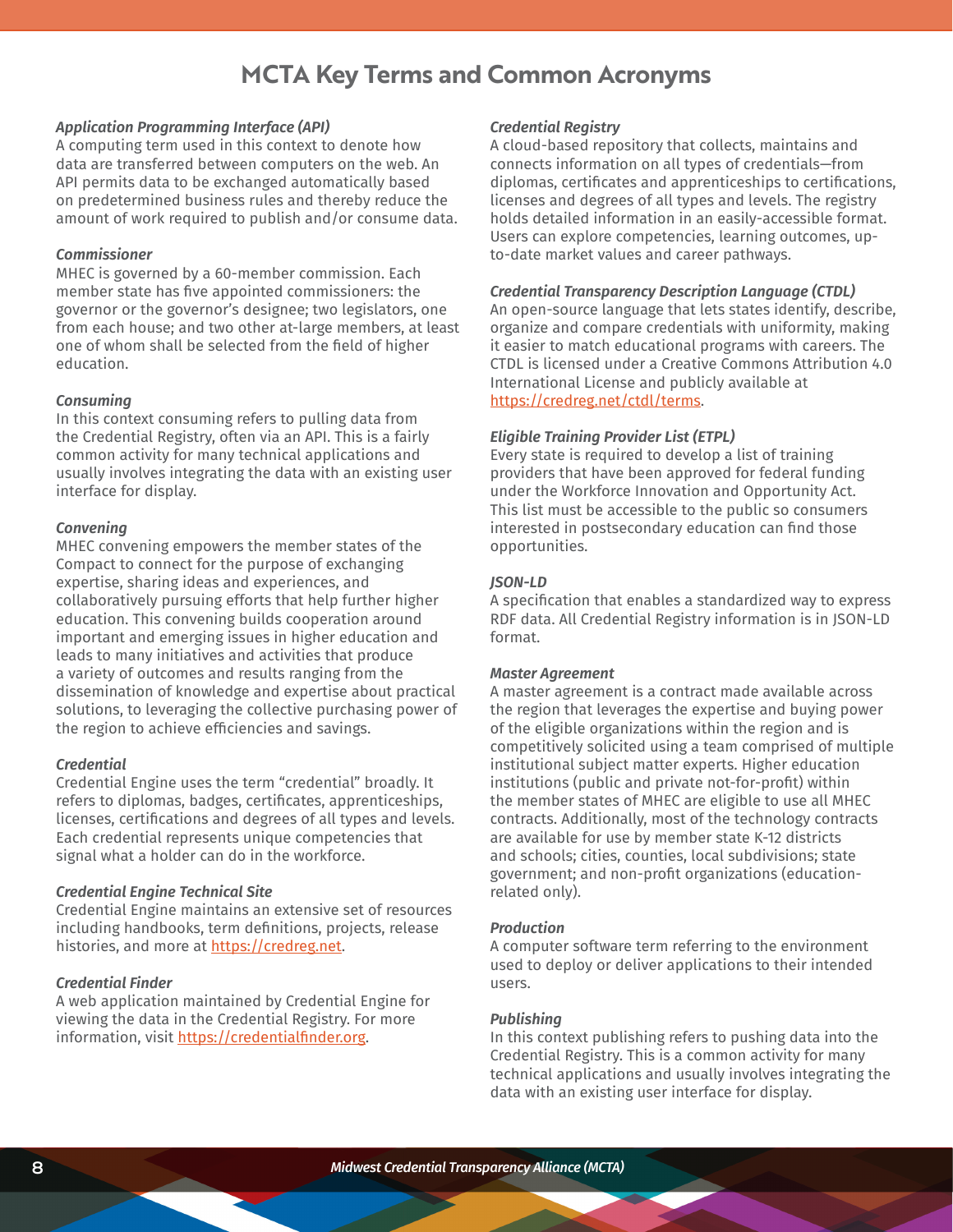# **MCTA Key Terms and Common Acronyms**

### *Application Programming Interface (API)*

A computing term used in this context to denote how data are transferred between computers on the web. An API permits data to be exchanged automatically based on predetermined business rules and thereby reduce the amount of work required to publish and/or consume data.

#### *Commissioner*

MHEC is governed by a 60-member commission. Each member state has five appointed commissioners: the governor or the governor's designee; two legislators, one from each house; and two other at-large members, at least one of whom shall be selected from the field of higher education.

### *Consuming*

In this context consuming refers to pulling data from the Credential Registry, often via an API. This is a fairly common activity for many technical applications and usually involves integrating the data with an existing user interface for display.

#### *Convening*

MHEC convening empowers the member states of the Compact to connect for the purpose of exchanging expertise, sharing ideas and experiences, and collaboratively pursuing efforts that help further higher education. This convening builds cooperation around important and emerging issues in higher education and leads to many initiatives and activities that produce a variety of outcomes and results ranging from the dissemination of knowledge and expertise about practical solutions, to leveraging the collective purchasing power of the region to achieve efficiencies and savings.

### *Credential*

Credential Engine uses the term "credential" broadly. It refers to diplomas, badges, certificates, apprenticeships, licenses, certifications and degrees of all types and levels. Each credential represents unique competencies that signal what a holder can do in the workforce.

#### *Credential Engine Technical Site*

Credential Engine maintains an extensive set of resources including handbooks, term definitions, projects, release histories, and more at [https://credreg.net.](https://credreg.net)

#### *Credential Finder*

A web application maintained by Credential Engine for viewing the data in the Credential Registry. For more information, visit <https://credentialfinder.org>.

#### *Credential Registry*

A cloud-based repository that collects, maintains and connects information on all types of credentials—from diplomas, certificates and apprenticeships to certifications, licenses and degrees of all types and levels. The registry holds detailed information in an easily-accessible format. Users can explore competencies, learning outcomes, upto-date market values and career pathways.

### *Credential Transparency Description Language (CTDL)*

An open-source language that lets states identify, describe, organize and compare credentials with uniformity, making it easier to match educational programs with careers. The CTDL is licensed under a Creative Commons Attribution 4.0 International License and publicly available at <https://credreg.net/ctdl/terms>.

# *Eligible Training Provider List (ETPL)*

Every state is required to develop a list of training providers that have been approved for federal funding under the Workforce Innovation and Opportunity Act. This list must be accessible to the public so consumers interested in postsecondary education can find those opportunities.

### *JSON-LD*

A specification that enables a standardized way to express RDF data. All Credential Registry information is in JSON-LD format.

#### *Master Agreement*

A master agreement is a contract made available across the region that leverages the expertise and buying power of the eligible organizations within the region and is competitively solicited using a team comprised of multiple institutional subject matter experts. Higher education institutions (public and private not-for-profit) within the member states of MHEC are eligible to use all MHEC contracts. Additionally, most of the technology contracts are available for use by member state K-12 districts and schools; cities, counties, local subdivisions; state government; and non-profit organizations (educationrelated only).

#### *Production*

A computer software term referring to the environment used to deploy or deliver applications to their intended users.

#### *Publishing*

In this context publishing refers to pushing data into the Credential Registry. This is a common activity for many technical applications and usually involves integrating the data with an existing user interface for display.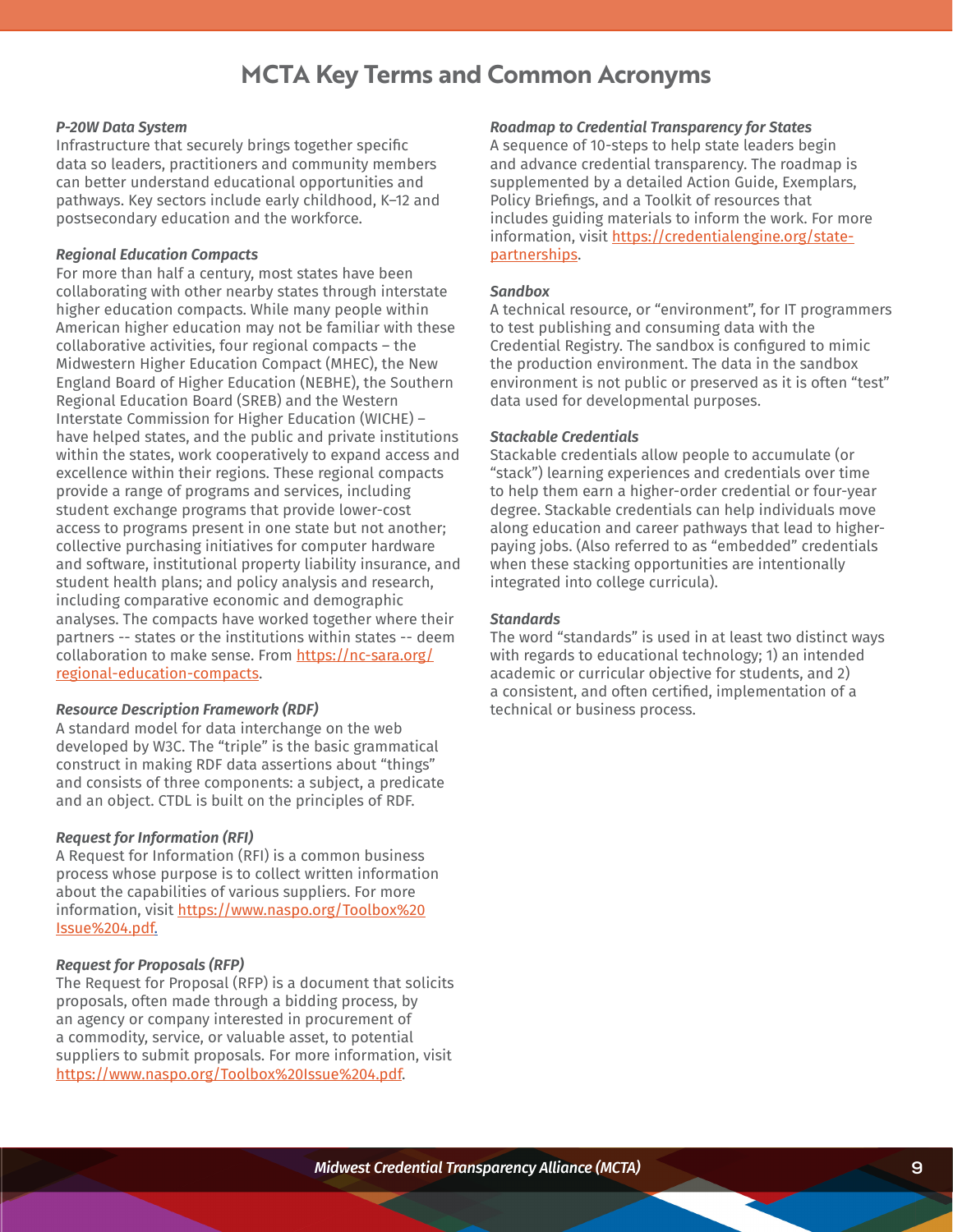# **MCTA Key Terms and Common Acronyms**

## *P-20W Data System*

Infrastructure that securely brings together specific data so leaders, practitioners and community members can better understand educational opportunities and pathways. Key sectors include early childhood, K–12 and postsecondary education and the workforce.

### *Regional Education Compacts*

For more than half a century, most states have been collaborating with other nearby states through interstate higher education compacts. While many people within American higher education may not be familiar with these collaborative activities, four regional compacts – the Midwestern Higher Education Compact (MHEC), the New England Board of Higher Education (NEBHE), the Southern Regional Education Board (SREB) and the Western Interstate Commission for Higher Education (WICHE) – have helped states, and the public and private institutions within the states, work cooperatively to expand access and excellence within their regions. These regional compacts provide a range of programs and services, including student exchange programs that provide lower-cost access to programs present in one state but not another; collective purchasing initiatives for computer hardware and software, institutional property liability insurance, and student health plans; and policy analysis and research, including comparative economic and demographic analyses. The compacts have worked together where their partners -- states or the institutions within states -- deem collaboration to make sense. From [https://nc-sara.org/](https://nc-sara.org/regional-education-compacts) [regional-education-compacts](https://nc-sara.org/regional-education-compacts).

### *Resource Description Framework (RDF)*

A standard model for data interchange on the web developed by W3C. The "triple" is the basic grammatical construct in making RDF data assertions about "things" and consists of three components: a subject, a predicate and an object. CTDL is built on the principles of RDF.

#### *Request for Information (RFI)*

A Request for Information (RFI) is a common business process whose purpose is to collect written information about the capabilities of various suppliers. For more information, visit [https://www.naspo.org/Toolbox%20](https://www.naspo.org/Toolbox%20Issue%204.pdf.) [Issue%204.pdf.](https://www.naspo.org/Toolbox%20Issue%204.pdf.)

#### *Request for Proposals (RFP)*

The Request for Proposal (RFP) is a document that solicits proposals, often made through a bidding process, by an agency or company interested in procurement of a commodity, service, or valuable asset, to potential suppliers to submit proposals. For more information, visit <https://www.naspo.org/Toolbox%20Issue%204.pdf>.

#### *Roadmap to Credential Transparency for States*

A sequence of 10-steps to help state leaders begin and advance credential transparency. The roadmap is supplemented by a detailed Action Guide, Exemplars, Policy Briefings, and a Toolkit of resources that includes guiding materials to inform the work. For more information, visit [https://credentialengine.org/state](https://credentialengine.org/state-partnerships)[partnerships](https://credentialengine.org/state-partnerships).

#### *Sandbox*

A technical resource, or "environment", for IT programmers to test publishing and consuming data with the Credential Registry. The sandbox is configured to mimic the production environment. The data in the sandbox environment is not public or preserved as it is often "test" data used for developmental purposes.

# *Stackable Credentials*

Stackable credentials allow people to accumulate (or "stack") learning experiences and credentials over time to help them earn a higher-order credential or four-year degree. Stackable credentials can help individuals move along education and career pathways that lead to higherpaying jobs. (Also referred to as "embedded" credentials when these stacking opportunities are intentionally integrated into college curricula).

#### *Standards*

The word "standards" is used in at least two distinct ways with regards to educational technology; 1) an intended academic or curricular objective for students, and 2) a consistent, and often certified, implementation of a technical or business process.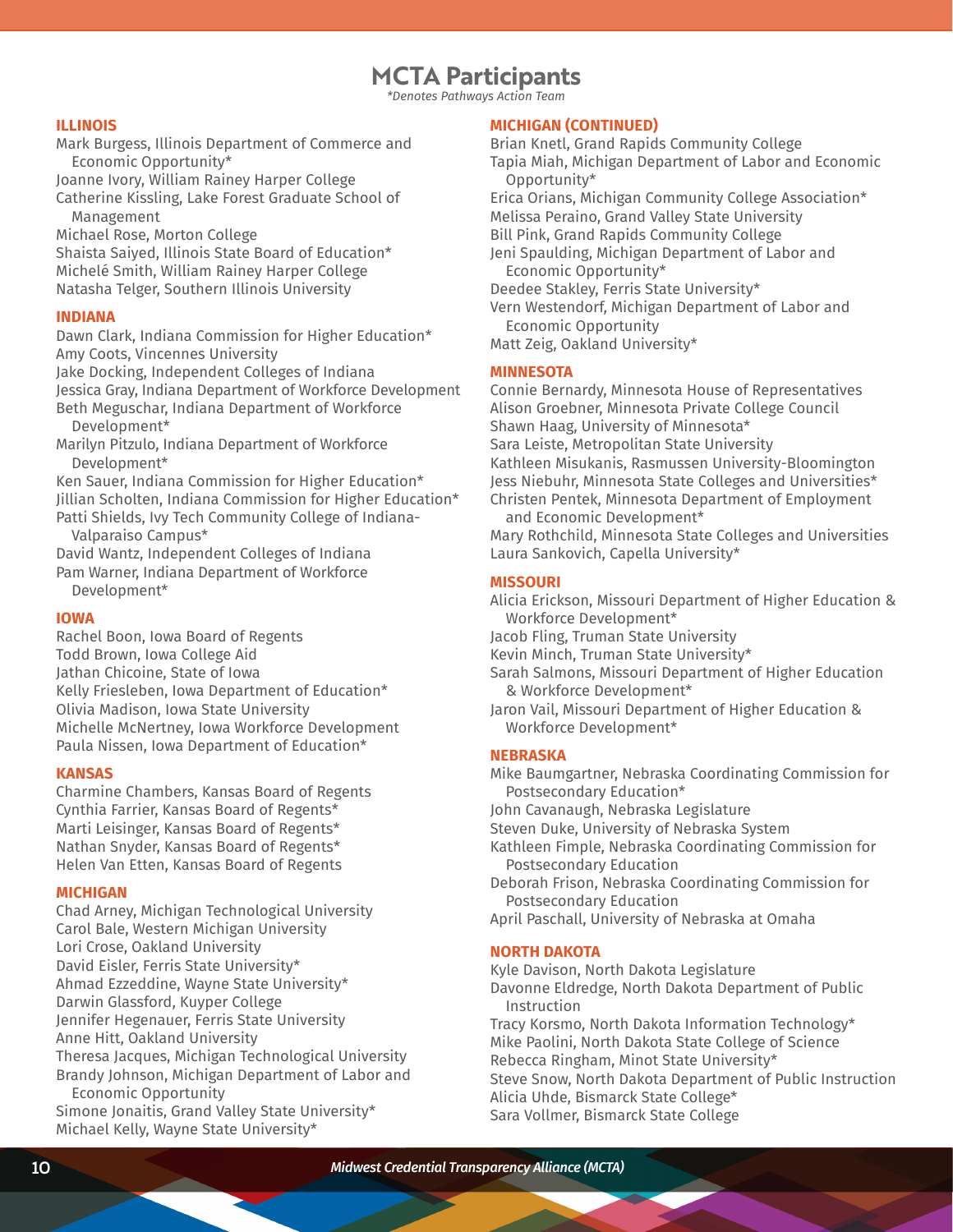# **MCTA Participants**

*\*Denotes Pathways Action Team*

### **ILLINOIS**

Mark Burgess, Illinois Department of Commerce and Economic Opportunity\*

Joanne Ivory, William Rainey Harper College Catherine Kissling, Lake Forest Graduate School of

Management

Michael Rose, Morton College Shaista Saiyed, Illinois State Board of Education\*

Michelé Smith, William Rainey Harper College Natasha Telger, Southern Illinois University

# **INDIANA**

Dawn Clark, Indiana Commission for Higher Education\* Amy Coots, Vincennes University

Jake Docking, Independent Colleges of Indiana

Jessica Gray, Indiana Department of Workforce Development Beth Meguschar, Indiana Department of Workforce

Development\*

Marilyn Pitzulo, Indiana Department of Workforce Development\*

Ken Sauer, Indiana Commission for Higher Education\* Jillian Scholten, Indiana Commission for Higher Education\* Patti Shields, Ivy Tech Community College of Indiana-

Valparaiso Campus\*

David Wantz, Independent Colleges of Indiana Pam Warner, Indiana Department of Workforce Development\*

# **IOWA**

Rachel Boon, Iowa Board of Regents Todd Brown, Iowa College Aid Jathan Chicoine, State of Iowa Kelly Friesleben, Iowa Department of Education\* Olivia Madison, Iowa State University Michelle McNertney, Iowa Workforce Development Paula Nissen, Iowa Department of Education\*

# **KANSAS**

Charmine Chambers, Kansas Board of Regents Cynthia Farrier, Kansas Board of Regents\* Marti Leisinger, Kansas Board of Regents\* Nathan Snyder, Kansas Board of Regents\* Helen Van Etten, Kansas Board of Regents

#### **MICHIGAN**

Chad Arney, Michigan Technological University Carol Bale, Western Michigan University Lori Crose, Oakland University David Eisler, Ferris State University\* Ahmad Ezzeddine, Wayne State University\* Darwin Glassford, Kuyper College Jennifer Hegenauer, Ferris State University Anne Hitt, Oakland University Theresa Jacques, Michigan Technological University Brandy Johnson, Michigan Department of Labor and Economic Opportunity

Simone Jonaitis, Grand Valley State University\* Michael Kelly, Wayne State University\*

### **MICHIGAN (CONTINUED)**

Brian Knetl, Grand Rapids Community College Tapia Miah, Michigan Department of Labor and Economic Opportunity\* Erica Orians, Michigan Community College Association\* Melissa Peraino, Grand Valley State University Bill Pink, Grand Rapids Community College Jeni Spaulding, Michigan Department of Labor and Economic Opportunity\* Deedee Stakley, Ferris State University\* Vern Westendorf, Michigan Department of Labor and Economic Opportunity Matt Zeig, Oakland University\*

# **MINNESOTA**

Connie Bernardy, Minnesota House of Representatives Alison Groebner, Minnesota Private College Council Shawn Haag, University of Minnesota\* Sara Leiste, Metropolitan State University Kathleen Misukanis, Rasmussen University-Bloomington Jess Niebuhr, Minnesota State Colleges and Universities\* Christen Pentek, Minnesota Department of Employment and Economic Development\*

Mary Rothchild, Minnesota State Colleges and Universities Laura Sankovich, Capella University\*

# **MISSOURI**

Alicia Erickson, Missouri Department of Higher Education & Workforce Development\*

Jacob Fling, Truman State University

Kevin Minch, Truman State University\*

Sarah Salmons, Missouri Department of Higher Education & Workforce Development\*

Jaron Vail, Missouri Department of Higher Education & Workforce Development\*

# **NEBRASKA**

Mike Baumgartner, Nebraska Coordinating Commission for Postsecondary Education\* John Cavanaugh, Nebraska Legislature Steven Duke, University of Nebraska System Kathleen Fimple, Nebraska Coordinating Commission for Postsecondary Education

Deborah Frison, Nebraska Coordinating Commission for Postsecondary Education

April Paschall, University of Nebraska at Omaha

# **NORTH DAKOTA**

Kyle Davison, North Dakota Legislature

Davonne Eldredge, North Dakota Department of Public Instruction

Tracy Korsmo, North Dakota Information Technology\* Mike Paolini, North Dakota State College of Science Rebecca Ringham, Minot State University\* Steve Snow, North Dakota Department of Public Instruction Alicia Uhde, Bismarck State College\* Sara Vollmer, Bismarck State College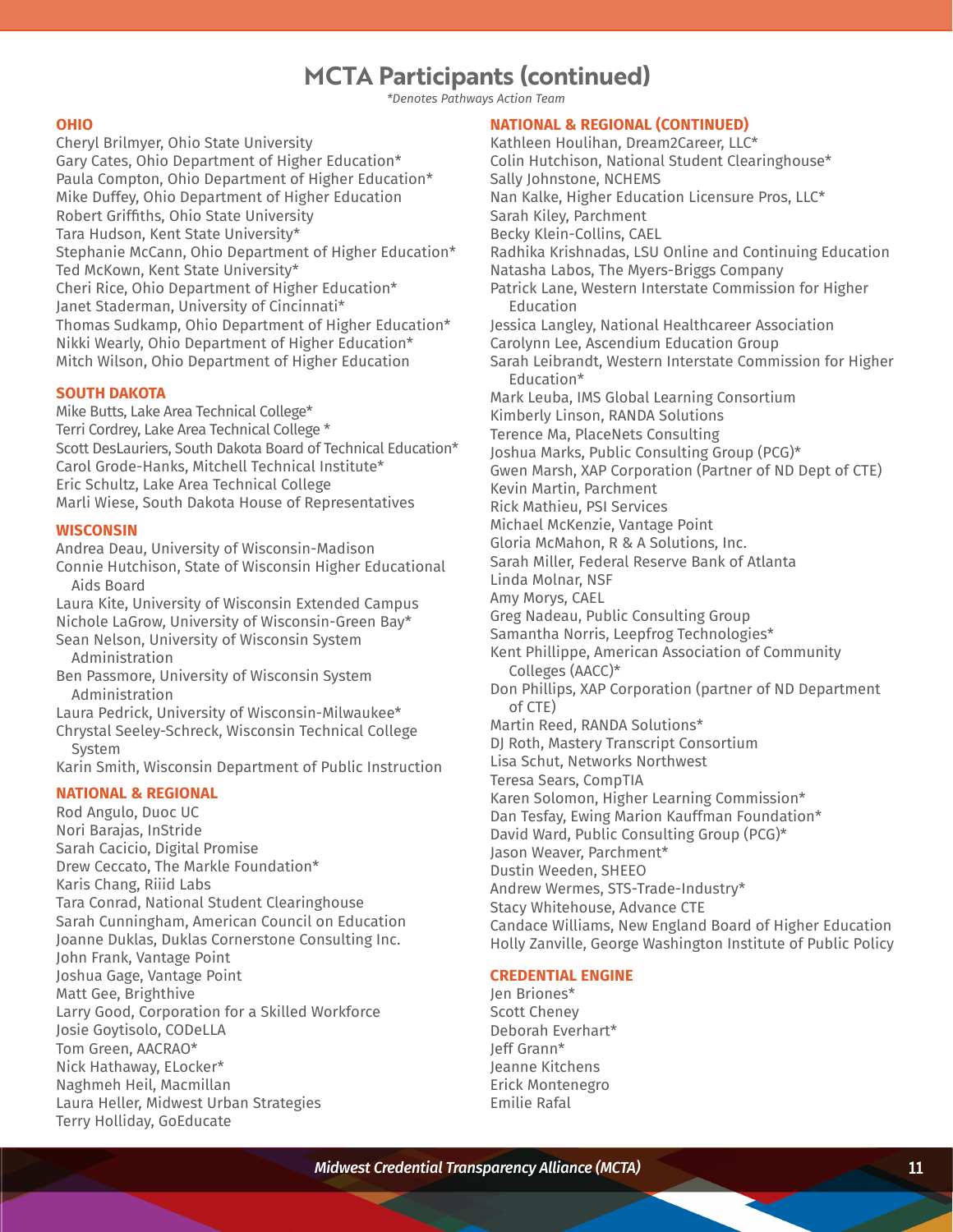# **MCTA Participants (continued)**

*\*Denotes Pathways Action Team*

### **OHIO**

Cheryl Brilmyer, Ohio State University Gary Cates, Ohio Department of Higher Education\* Paula Compton, Ohio Department of Higher Education\* Mike Duffey, Ohio Department of Higher Education Robert Griffiths, Ohio State University Tara Hudson, Kent State University\* Stephanie McCann, Ohio Department of Higher Education\* Ted McKown, Kent State University\* Cheri Rice, Ohio Department of Higher Education\* Janet Staderman, University of Cincinnati\* Thomas Sudkamp, Ohio Department of Higher Education\* Nikki Wearly, Ohio Department of Higher Education\* Mitch Wilson, Ohio Department of Higher Education

# **SOUTH DAKOTA**

Mike Butts, Lake Area Technical College\* Terri Cordrey, Lake Area Technical College \* Scott DesLauriers, South Dakota Board of Technical Education\* Carol Grode-Hanks, Mitchell Technical Institute\* Eric Schultz, Lake Area Technical College Marli Wiese, South Dakota House of Representatives

### **WISCONSIN**

Andrea Deau, University of Wisconsin-Madison

Connie Hutchison, State of Wisconsin Higher Educational Aids Board

Laura Kite, University of Wisconsin Extended Campus Nichole LaGrow, University of Wisconsin-Green Bay\* Sean Nelson, University of Wisconsin System

Administration

Ben Passmore, University of Wisconsin System Administration

Laura Pedrick, University of Wisconsin-Milwaukee\* Chrystal Seeley-Schreck, Wisconsin Technical College System

Karin Smith, Wisconsin Department of Public Instruction

# **NATIONAL & REGIONAL**

Rod Angulo, Duoc UC Nori Barajas, InStride Sarah Cacicio, Digital Promise Drew Ceccato, The Markle Foundation\* Karis Chang, Riiid Labs Tara Conrad, National Student Clearinghouse Sarah Cunningham, American Council on Education Joanne Duklas, Duklas Cornerstone Consulting Inc. John Frank, Vantage Point Joshua Gage, Vantage Point Matt Gee, Brighthive Larry Good, Corporation for a Skilled Workforce Josie Goytisolo, CODeLLA Tom Green, AACRAO\* Nick Hathaway, ELocker\* Naghmeh Heil, Macmillan Laura Heller, Midwest Urban Strategies Terry Holliday, GoEducate

# **NATIONAL & REGIONAL (CONTINUED)**

Kathleen Houlihan, Dream2Career, LLC\* Colin Hutchison, National Student Clearinghouse\* Sally Johnstone, NCHEMS Nan Kalke, Higher Education Licensure Pros, LLC\* Sarah Kiley, Parchment Becky Klein-Collins, CAEL Radhika Krishnadas, LSU Online and Continuing Education Natasha Labos, The Myers-Briggs Company Patrick Lane, Western Interstate Commission for Higher Education Jessica Langley, National Healthcareer Association Carolynn Lee, Ascendium Education Group Sarah Leibrandt, Western Interstate Commission for Higher Education\* Mark Leuba, IMS Global Learning Consortium Kimberly Linson, RANDA Solutions Terence Ma, PlaceNets Consulting Joshua Marks, Public Consulting Group (PCG)\* Gwen Marsh, XAP Corporation (Partner of ND Dept of CTE) Kevin Martin, Parchment Rick Mathieu, PSI Services Michael McKenzie, Vantage Point Gloria McMahon, R & A Solutions, Inc. Sarah Miller, Federal Reserve Bank of Atlanta Linda Molnar, NSF Amy Morys, CAEL Greg Nadeau, Public Consulting Group Samantha Norris, Leepfrog Technologies\* Kent Phillippe, American Association of Community Colleges (AACC)\* Don Phillips, XAP Corporation (partner of ND Department of CTE) Martin Reed, RANDA Solutions\* DJ Roth, Mastery Transcript Consortium Lisa Schut, Networks Northwest Teresa Sears, CompTIA Karen Solomon, Higher Learning Commission\* Dan Tesfay, Ewing Marion Kauffman Foundation\* David Ward, Public Consulting Group (PCG)\* Jason Weaver, Parchment\* Dustin Weeden, SHEEO Andrew Wermes, STS-Trade-Industry\* Stacy Whitehouse, Advance CTE Candace Williams, New England Board of Higher Education Holly Zanville, George Washington Institute of Public Policy

# **CREDENTIAL ENGINE**

Jen Briones\* Scott Cheney Deborah Everhart\* Jeff Grann\* Jeanne Kitchens Erick Montenegro Emilie Rafal